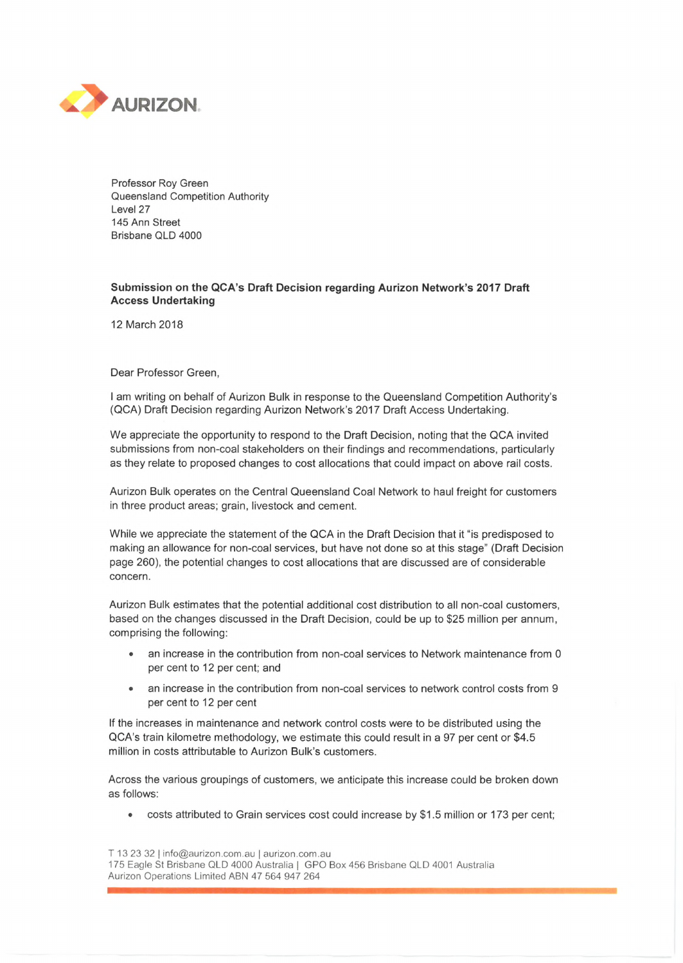

Professor Roy Green Queensland Competition Authority Level 27 145 Ann Street Brisbane QLD 4000

## **Submission on the QCA's Draft Decision regarding Aurizon Network's 2017 Draft Access Undertaking**

12 March 2018

Dear Professor Green,

<sup>I</sup> am writing on behalf of Aurizon Bulk in response to the Queensland Competition Authority's (QCA) Draft Decision regarding Aurizon Network's 2017 Draft Access Undertaking.

We appreciate the opportunity to respond to the Draft Decision, noting that the QCA invited submissions from non-coal stakeholders on their findings and recommendations, particularly as they relate to proposed changes to cost allocations that could impact on above rail costs.

Aurizon Bulk operates on the Central Queensland Coal Network to haul freight for customers in three product areas; grain, livestock and cement.

While we appreciate the statement of the QCA in the Draft Decision that it "is predisposed to making an allowance for non-coal services, but have not done so at this stage" (Draft Decision page 260), the potential changes to cost allocations that are discussed are of considerable concern.

Aurizon Bulk estimates that the potential additional cost distribution to all non-coal customers, based on the changes discussed in the Draft Decision, could be up to \$25 million per annum, comprising the following:

- an increase in the contribution from non-coal services to Network maintenance from 0 per cent to 12 per cent; and
- an increase in the contribution from non-coal services to network control costs from 9 per cent to 12 per cent

If the increases in maintenance and network control costs were to be distributed using the QCA's train kilometre methodology, we estimate this could result in a 97 per cent or \$4.5 million in costs attributable to Aurizon Bulk's customers.

Across the various groupings of customers, we anticipate this increase could be broken down as follows:

• costs attributed to Grain services cost could increase by \$1.5 million or 173 per cent;

T 13 23 32 <sup>|</sup> [info@aurizon.com.au](mailto:info@aurizon.com.au) <sup>|</sup> aurizon.com.au 175 Eagle St Brisbane QLD 4000 Australia <sup>|</sup> GPO Box 456 Brisbane QLD 4001 Australia Aurizon Operations Limited ABN 47 564 947 264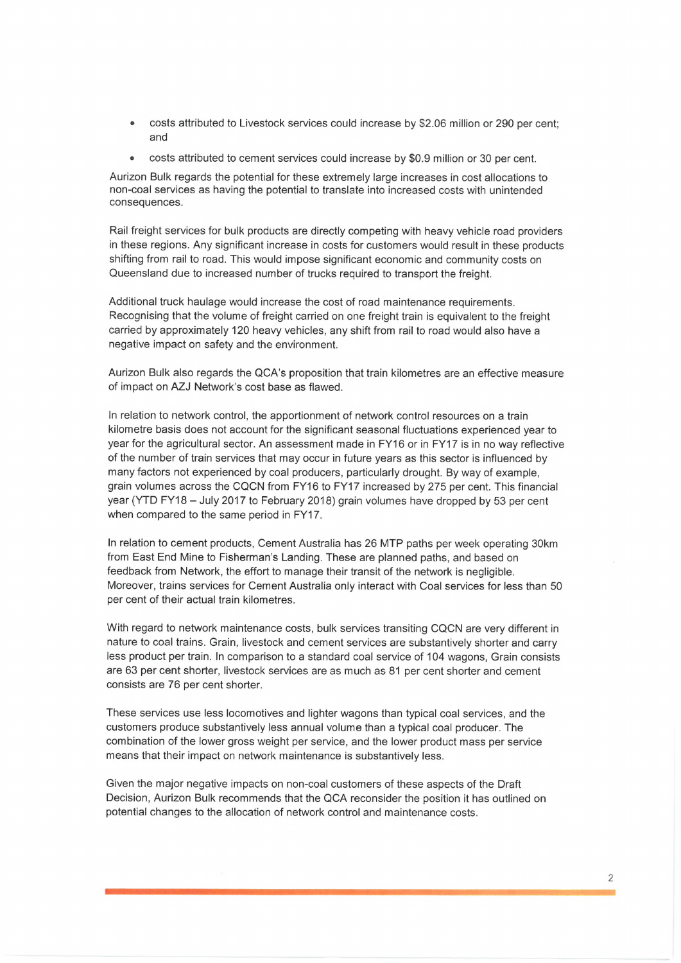- costs attributed to Livestock services could increase by \$2.06 million or 290 per cent; and
- costs attributed to cement services could increase by \$0.9 million or 30 per cent.

Aurizon Bulk regards the potential for these extremely large increases in cost allocations to non-coal services as having the potential to translate into increased costs with unintended consequences.

Rail freight services for bulk products are directly competing with heavy vehicle road providers in these regions. Any significant increase in costs for customers would result in these products shifting from rail to road. This would impose significant economic and community costs on Queensland due to increased number of trucks required to transport the freight.

Additional truck haulage would increase the cost of road maintenance requirements. Recognising that the volume of freight carried on one freight train is equivalent to the freight carried by approximately 120 heavy vehicles, any shift from rail to road would also have a negative impact on safety and the environment.

Aurizon Bulk also regards the QCA's proposition that train kilometres are an effective measure of impact on AZJ Network's cost base as flawed.

In relation to network control, the apportionment of network control resources on a train kilometre basis does not account for the significant seasonal fluctuations experienced year to year for the agricultural sector. An assessment made in FY16 or in FY17 is in no way reflective of the number of train services that may occur in future years as this sector is influenced by many factors not experienced by coal producers, particularly drought. By way of example, grain volumes across the CQCN from FY16 to FY17 increased by 275 per cent. This financial year (YTD FY18 - July <sup>2017</sup> to February 2018) grain volumes have dropped by <sup>53</sup> per cent when compared to the same period in FY17.

In relation to cement products, Cement Australia has 26 MTP paths per week operating 30km from East End Mine to Fisherman's Landing. These are planned paths, and based on feedback from Network, the effort to manage their transit of the network is negligible. Moreover, trains services for Cement Australia only interact with Coal services for less than 50 per cent of their actual train kilometres.

With regard to network maintenance costs, bulk services transiting CQCN are very different in nature to coal trains. Grain, livestock and cement services are substantively shorter and carry less product per train. In comparison to a standard coal service of 104 wagons, Grain consists are 63 per cent shorter, livestock services are as much as 81 per cent shorter and cement consists are 76 per cent shorter.

These services use less locomotives and lighter wagons than typical coal services, and the customers produce substantively less annual volume than a typical coal producer. The combination of the lower gross weight per service, and the lower product mass per service means that their impact on network maintenance is substantively less.

Given the major negative impacts on non-coal customers of these aspects of the Draft Decision, Aurizon Bulk recommends that the QCA reconsider the position it has outlined on potential changes to the allocation of network control and maintenance costs.